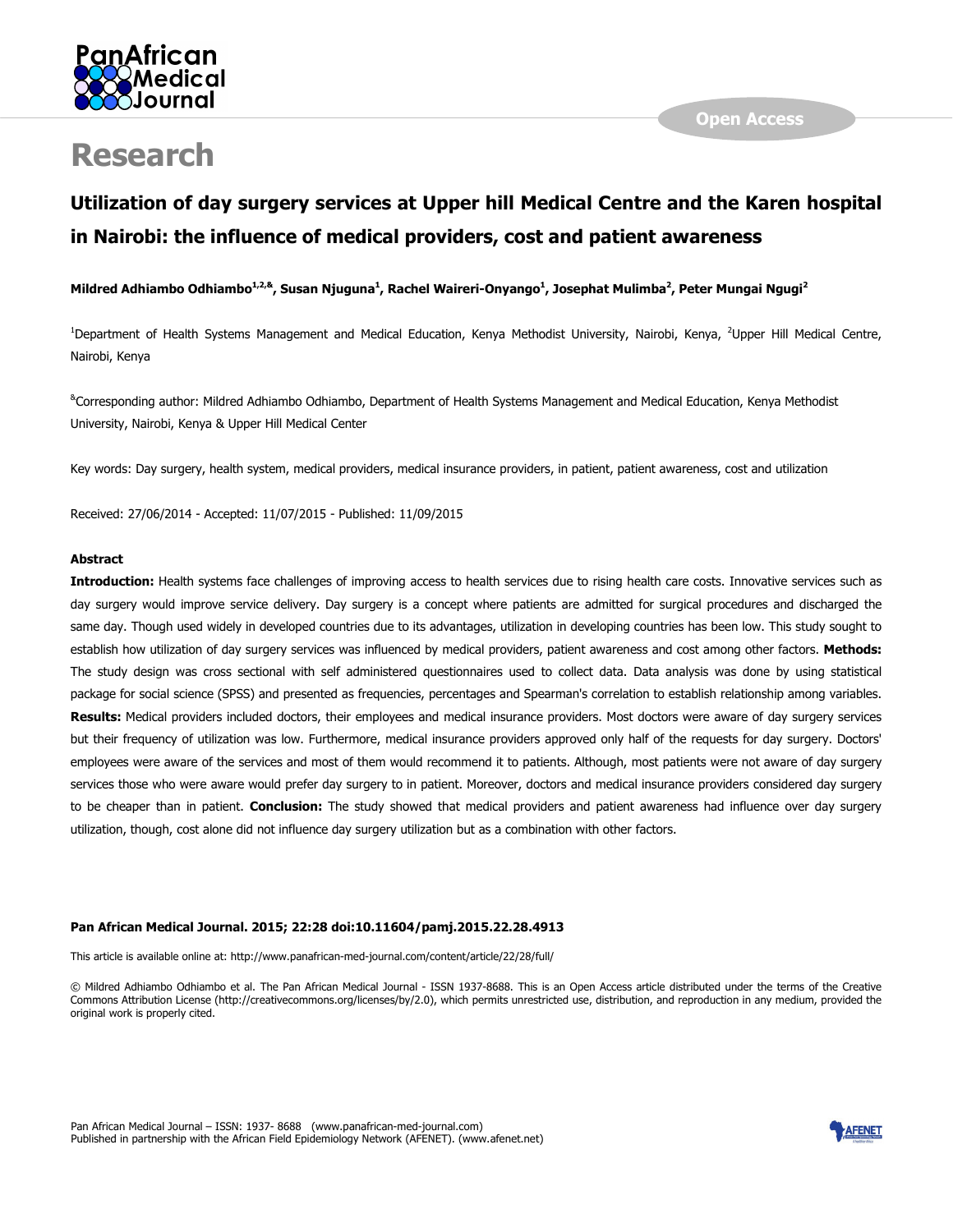

# Research

## Utilization of day surgery services at Upper hill Medical Centre and the Karen hospital in Nairobi: the influence of medical providers, cost and patient awareness

#### Mildred Adhiambo Odhiambo<sup>1,2,&</sup>, Susan Njuguna<sup>1</sup>, Rachel Waireri-Onyango<sup>1</sup>, Josephat Mulimba<sup>2</sup>, Peter Mungai Ngugi<sup>2</sup>

<sup>1</sup>Department of Health Systems Management and Medical Education, Kenya Methodist University, Nairobi, Kenya, <sup>2</sup>Upper Hill Medical Centre, Nairobi, Kenya

&Corresponding author: Mildred Adhiambo Odhiambo, Department of Health Systems Management and Medical Education, Kenya Methodist University, Nairobi, Kenya & Upper Hill Medical Center

Key words: Day surgery, health system, medical providers, medical insurance providers, in patient, patient awareness, cost and utilization

Received: 27/06/2014 - Accepted: 11/07/2015 - Published: 11/09/2015

#### Abstract

Introduction: Health systems face challenges of improving access to health services due to rising health care costs. Innovative services such as day surgery would improve service delivery. Day surgery is a concept where patients are admitted for surgical procedures and discharged the same day. Though used widely in developed countries due to its advantages, utilization in developing countries has been low. This study sought to establish how utilization of day surgery services was influenced by medical providers, patient awareness and cost among other factors. Methods: The study design was cross sectional with self administered questionnaires used to collect data. Data analysis was done by using statistical package for social science (SPSS) and presented as frequencies, percentages and Spearman's correlation to establish relationship among variables. Results: Medical providers included doctors, their employees and medical insurance providers. Most doctors were aware of day surgery services but their frequency of utilization was low. Furthermore, medical insurance providers approved only half of the requests for day surgery. Doctors' employees were aware of the services and most of them would recommend it to patients. Although, most patients were not aware of day surgery services those who were aware would prefer day surgery to in patient. Moreover, doctors and medical insurance providers considered day surgery to be cheaper than in patient. **Conclusion:** The study showed that medical providers and patient awareness had influence over day surgery utilization, though, cost alone did not influence day surgery utilization but as a combination with other factors.

#### Pan African Medical Journal. 2015; 22:28 doi:10.11604/pamj.2015.22.28.4913

This article is available online at: http://www.panafrican-med-journal.com/content/article/22/28/full/

© Mildred Adhiambo Odhiambo et al. The Pan African Medical Journal - ISSN 1937-8688. This is an Open Access article distributed under the terms of the Creative Commons Attribution License (http://creativecommons.org/licenses/by/2.0), which permits unrestricted use, distribution, and reproduction in any medium, provided the original work is properly cited.

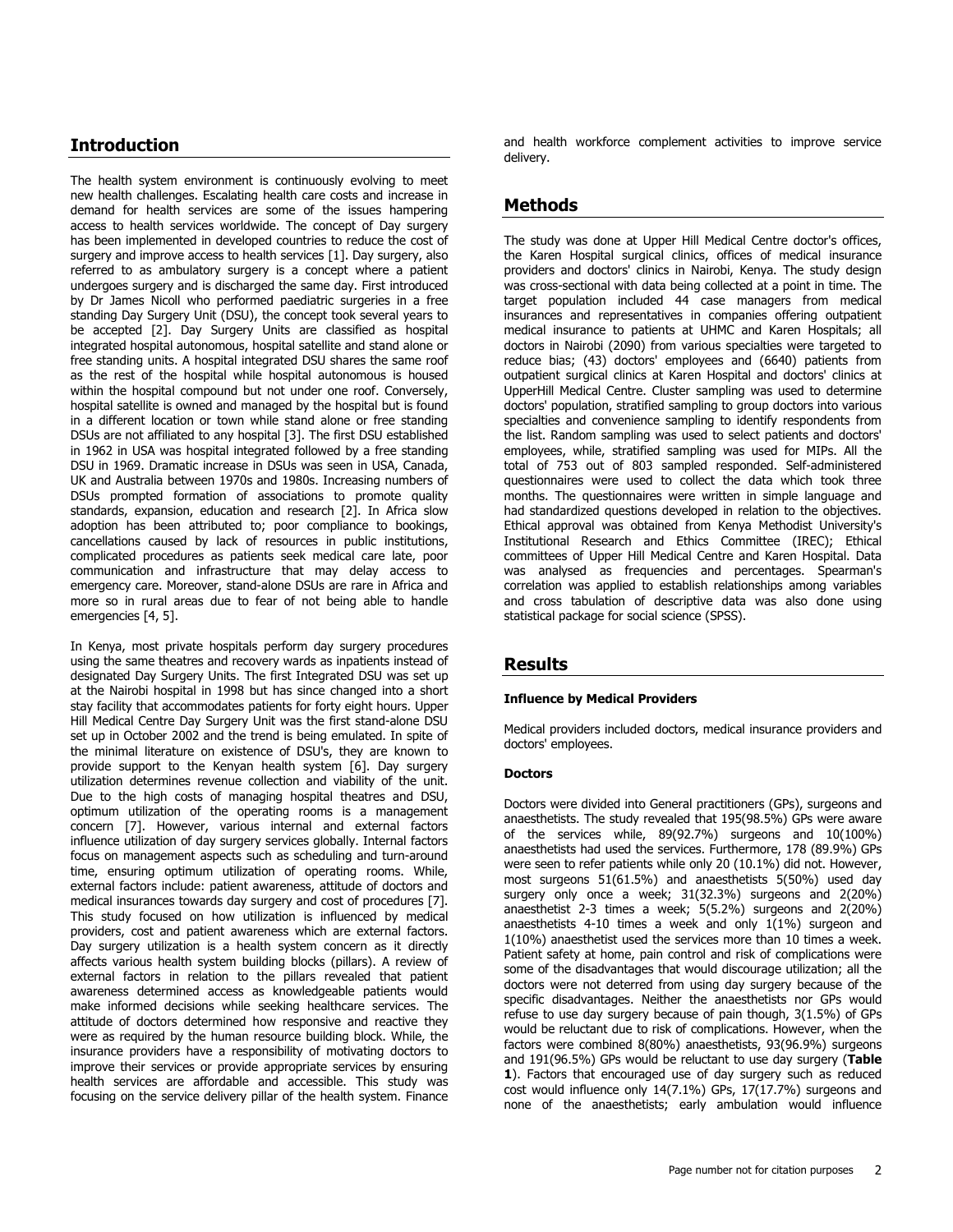## Introduction

The health system environment is continuously evolving to meet new health challenges. Escalating health care costs and increase in demand for health services are some of the issues hampering access to health services worldwide. The concept of Day surgery has been implemented in developed countries to reduce the cost of surgery and improve access to health services [1]. Day surgery, also referred to as ambulatory surgery is a concept where a patient undergoes surgery and is discharged the same day. First introduced by Dr James Nicoll who performed paediatric surgeries in a free standing Day Surgery Unit (DSU), the concept took several years to be accepted [2]. Day Surgery Units are classified as hospital integrated hospital autonomous, hospital satellite and stand alone or free standing units. A hospital integrated DSU shares the same roof as the rest of the hospital while hospital autonomous is housed within the hospital compound but not under one roof. Conversely, hospital satellite is owned and managed by the hospital but is found in a different location or town while stand alone or free standing DSUs are not affiliated to any hospital [3]. The first DSU established in 1962 in USA was hospital integrated followed by a free standing DSU in 1969. Dramatic increase in DSUs was seen in USA, Canada, UK and Australia between 1970s and 1980s. Increasing numbers of DSUs prompted formation of associations to promote quality standards, expansion, education and research [2]. In Africa slow adoption has been attributed to; poor compliance to bookings, cancellations caused by lack of resources in public institutions, complicated procedures as patients seek medical care late, poor communication and infrastructure that may delay access to emergency care. Moreover, stand-alone DSUs are rare in Africa and more so in rural areas due to fear of not being able to handle emergencies [4, 5].

In Kenya, most private hospitals perform day surgery procedures using the same theatres and recovery wards as inpatients instead of designated Day Surgery Units. The first Integrated DSU was set up at the Nairobi hospital in 1998 but has since changed into a short stay facility that accommodates patients for forty eight hours. Upper Hill Medical Centre Day Surgery Unit was the first stand-alone DSU set up in October 2002 and the trend is being emulated. In spite of the minimal literature on existence of DSU's, they are known to provide support to the Kenyan health system [6]. Day surgery utilization determines revenue collection and viability of the unit. Due to the high costs of managing hospital theatres and DSU, optimum utilization of the operating rooms is a management concern [7]. However, various internal and external factors influence utilization of day surgery services globally. Internal factors focus on management aspects such as scheduling and turn-around time, ensuring optimum utilization of operating rooms. While, external factors include: patient awareness, attitude of doctors and medical insurances towards day surgery and cost of procedures [7]. This study focused on how utilization is influenced by medical providers, cost and patient awareness which are external factors. Day surgery utilization is a health system concern as it directly affects various health system building blocks (pillars). A review of external factors in relation to the pillars revealed that patient awareness determined access as knowledgeable patients would make informed decisions while seeking healthcare services. The attitude of doctors determined how responsive and reactive they were as required by the human resource building block. While, the insurance providers have a responsibility of motivating doctors to improve their services or provide appropriate services by ensuring health services are affordable and accessible. This study was focusing on the service delivery pillar of the health system. Finance and health workforce complement activities to improve service delivery.

## Methods

The study was done at Upper Hill Medical Centre doctor's offices, the Karen Hospital surgical clinics, offices of medical insurance providers and doctors' clinics in Nairobi, Kenya. The study design was cross-sectional with data being collected at a point in time. The target population included 44 case managers from medical insurances and representatives in companies offering outpatient medical insurance to patients at UHMC and Karen Hospitals; all doctors in Nairobi (2090) from various specialties were targeted to reduce bias; (43) doctors' employees and (6640) patients from outpatient surgical clinics at Karen Hospital and doctors' clinics at UpperHill Medical Centre. Cluster sampling was used to determine doctors' population, stratified sampling to group doctors into various specialties and convenience sampling to identify respondents from the list. Random sampling was used to select patients and doctors' employees, while, stratified sampling was used for MIPs. All the total of 753 out of 803 sampled responded. Self-administered questionnaires were used to collect the data which took three months. The questionnaires were written in simple language and had standardized questions developed in relation to the objectives. Ethical approval was obtained from Kenya Methodist University's Institutional Research and Ethics Committee (IREC); Ethical committees of Upper Hill Medical Centre and Karen Hospital. Data was analysed as frequencies and percentages. Spearman's correlation was applied to establish relationships among variables and cross tabulation of descriptive data was also done using statistical package for social science (SPSS).

## Results

## Influence by Medical Providers

Medical providers included doctors, medical insurance providers and doctors' employees.

#### **Doctors**

Doctors were divided into General practitioners (GPs), surgeons and anaesthetists. The study revealed that 195(98.5%) GPs were aware of the services while, 89(92.7%) surgeons and 10(100%) anaesthetists had used the services. Furthermore, 178 (89.9%) GPs were seen to refer patients while only 20 (10.1%) did not. However, most surgeons 51(61.5%) and anaesthetists 5(50%) used day surgery only once a week; 31(32.3%) surgeons and 2(20%) anaesthetist 2-3 times a week; 5(5.2%) surgeons and 2(20%) anaesthetists 4-10 times a week and only 1(1%) surgeon and 1(10%) anaesthetist used the services more than 10 times a week. Patient safety at home, pain control and risk of complications were some of the disadvantages that would discourage utilization; all the doctors were not deterred from using day surgery because of the specific disadvantages. Neither the anaesthetists nor GPs would refuse to use day surgery because of pain though, 3(1.5%) of GPs would be reluctant due to risk of complications. However, when the factors were combined 8(80%) anaesthetists, 93(96.9%) surgeons and 191(96.5%) GPs would be reluctant to use day surgery (Table 1). Factors that encouraged use of day surgery such as reduced cost would influence only 14(7.1%) GPs, 17(17.7%) surgeons and none of the anaesthetists; early ambulation would influence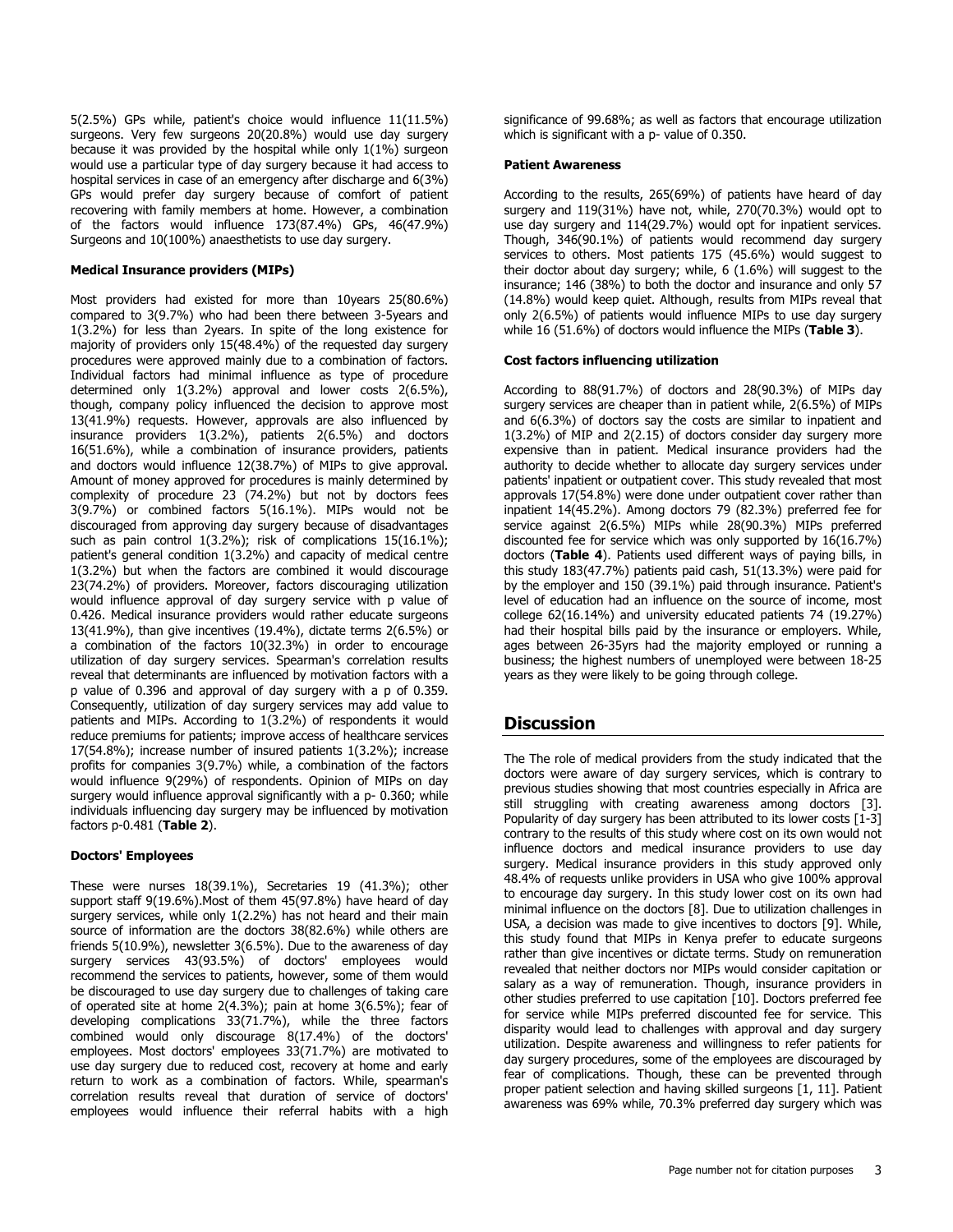5(2.5%) GPs while, patient's choice would influence 11(11.5%) surgeons. Very few surgeons 20(20.8%) would use day surgery because it was provided by the hospital while only 1(1%) surgeon would use a particular type of day surgery because it had access to hospital services in case of an emergency after discharge and 6(3%) GPs would prefer day surgery because of comfort of patient recovering with family members at home. However, a combination of the factors would influence 173(87.4%) GPs, 46(47.9%) Surgeons and 10(100%) anaesthetists to use day surgery.

#### Medical Insurance providers (MIPs)

Most providers had existed for more than 10years 25(80.6%) compared to 3(9.7%) who had been there between 3-5years and 1(3.2%) for less than 2years. In spite of the long existence for majority of providers only 15(48.4%) of the requested day surgery procedures were approved mainly due to a combination of factors. Individual factors had minimal influence as type of procedure determined only 1(3.2%) approval and lower costs 2(6.5%), though, company policy influenced the decision to approve most 13(41.9%) requests. However, approvals are also influenced by insurance providers 1(3.2%), patients 2(6.5%) and doctors 16(51.6%), while a combination of insurance providers, patients and doctors would influence 12(38.7%) of MIPs to give approval. Amount of money approved for procedures is mainly determined by complexity of procedure 23 (74.2%) but not by doctors fees 3(9.7%) or combined factors 5(16.1%). MIPs would not be discouraged from approving day surgery because of disadvantages such as pain control 1(3.2%); risk of complications 15(16.1%); patient's general condition 1(3.2%) and capacity of medical centre 1(3.2%) but when the factors are combined it would discourage 23(74.2%) of providers. Moreover, factors discouraging utilization would influence approval of day surgery service with p value of 0.426. Medical insurance providers would rather educate surgeons 13(41.9%), than give incentives (19.4%), dictate terms 2(6.5%) or a combination of the factors 10(32.3%) in order to encourage utilization of day surgery services. Spearman's correlation results reveal that determinants are influenced by motivation factors with a p value of 0.396 and approval of day surgery with a p of 0.359. Consequently, utilization of day surgery services may add value to patients and MIPs. According to 1(3.2%) of respondents it would reduce premiums for patients; improve access of healthcare services 17(54.8%); increase number of insured patients 1(3.2%); increase profits for companies 3(9.7%) while, a combination of the factors would influence 9(29%) of respondents. Opinion of MIPs on day surgery would influence approval significantly with a p- 0.360; while individuals influencing day surgery may be influenced by motivation factors p-0.481 (Table 2).

#### Doctors' Employees

These were nurses 18(39.1%), Secretaries 19 (41.3%); other support staff 9(19.6%).Most of them 45(97.8%) have heard of day surgery services, while only 1(2.2%) has not heard and their main source of information are the doctors 38(82.6%) while others are friends 5(10.9%), newsletter 3(6.5%). Due to the awareness of day surgery services 43(93.5%) of doctors' employees would recommend the services to patients, however, some of them would be discouraged to use day surgery due to challenges of taking care of operated site at home 2(4.3%); pain at home 3(6.5%); fear of developing complications 33(71.7%), while the three factors combined would only discourage 8(17.4%) of the doctors' employees. Most doctors' employees 33(71.7%) are motivated to use day surgery due to reduced cost, recovery at home and early return to work as a combination of factors. While, spearman's correlation results reveal that duration of service of doctors' employees would influence their referral habits with a high

significance of 99.68%; as well as factors that encourage utilization which is significant with a p- value of 0.350.

#### Patient Awareness

According to the results, 265(69%) of patients have heard of day surgery and 119(31%) have not, while, 270(70.3%) would opt to use day surgery and 114(29.7%) would opt for inpatient services. Though, 346(90.1%) of patients would recommend day surgery services to others. Most patients 175 (45.6%) would suggest to their doctor about day surgery; while, 6 (1.6%) will suggest to the insurance; 146 (38%) to both the doctor and insurance and only 57 (14.8%) would keep quiet. Although, results from MIPs reveal that only 2(6.5%) of patients would influence MIPs to use day surgery while 16 (51.6%) of doctors would influence the MIPs (Table 3).

#### Cost factors influencing utilization

According to 88(91.7%) of doctors and 28(90.3%) of MIPs day surgery services are cheaper than in patient while, 2(6.5%) of MIPs and 6(6.3%) of doctors say the costs are similar to inpatient and 1(3.2%) of MIP and 2(2.15) of doctors consider day surgery more expensive than in patient. Medical insurance providers had the authority to decide whether to allocate day surgery services under patients' inpatient or outpatient cover. This study revealed that most approvals 17(54.8%) were done under outpatient cover rather than inpatient 14(45.2%). Among doctors 79 (82.3%) preferred fee for service against 2(6.5%) MIPs while 28(90.3%) MIPs preferred discounted fee for service which was only supported by 16(16.7%) doctors (Table 4). Patients used different ways of paying bills, in this study 183(47.7%) patients paid cash, 51(13.3%) were paid for by the employer and 150 (39.1%) paid through insurance. Patient's level of education had an influence on the source of income, most college 62(16.14%) and university educated patients 74 (19.27%) had their hospital bills paid by the insurance or employers. While, ages between 26-35yrs had the majority employed or running a business; the highest numbers of unemployed were between 18-25 years as they were likely to be going through college.

## **Discussion**

The The role of medical providers from the study indicated that the doctors were aware of day surgery services, which is contrary to previous studies showing that most countries especially in Africa are still struggling with creating awareness among doctors [3]. Popularity of day surgery has been attributed to its lower costs [1-3] contrary to the results of this study where cost on its own would not influence doctors and medical insurance providers to use day surgery. Medical insurance providers in this study approved only 48.4% of requests unlike providers in USA who give 100% approval to encourage day surgery. In this study lower cost on its own had minimal influence on the doctors [8]. Due to utilization challenges in USA, a decision was made to give incentives to doctors [9]. While, this study found that MIPs in Kenya prefer to educate surgeons rather than give incentives or dictate terms. Study on remuneration revealed that neither doctors nor MIPs would consider capitation or salary as a way of remuneration. Though, insurance providers in other studies preferred to use capitation [10]. Doctors preferred fee for service while MIPs preferred discounted fee for service. This disparity would lead to challenges with approval and day surgery utilization. Despite awareness and willingness to refer patients for day surgery procedures, some of the employees are discouraged by fear of complications. Though, these can be prevented through proper patient selection and having skilled surgeons [1, 11]. Patient awareness was 69% while, 70.3% preferred day surgery which was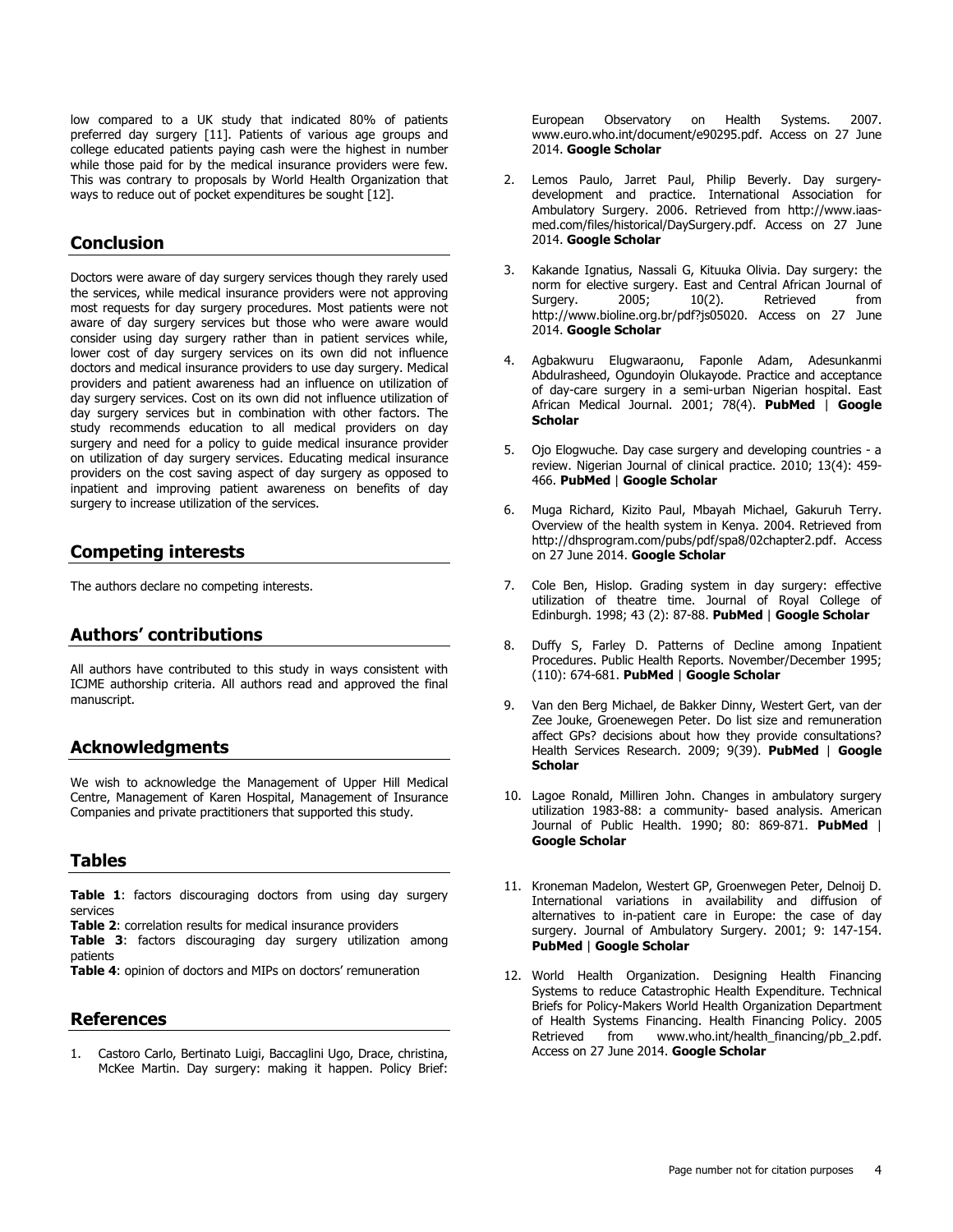low compared to a UK study that indicated 80% of patients preferred day surgery [11]. Patients of various age groups and college educated patients paying cash were the highest in number while those paid for by the medical insurance providers were few. This was contrary to proposals by World Health Organization that ways to reduce out of pocket expenditures be sought [12].

## Conclusion

Doctors were aware of day surgery services though they rarely used the services, while medical insurance providers were not approving most requests for day surgery procedures. Most patients were not aware of day surgery services but those who were aware would consider using day surgery rather than in patient services while, lower cost of day surgery services on its own did not influence doctors and medical insurance providers to use day surgery. Medical providers and patient awareness had an influence on utilization of day surgery services. Cost on its own did not influence utilization of day surgery services but in combination with other factors. The study recommends education to all medical providers on day surgery and need for a policy to guide medical insurance provider on utilization of day surgery services. Educating medical insurance providers on the cost saving aspect of day surgery as opposed to inpatient and improving patient awareness on benefits of day surgery to increase utilization of the services.

## Competing interests

The authors declare no competing interests.

## Authors' contributions

All authors have contributed to this study in ways consistent with ICJME authorship criteria. All authors read and approved the final manuscript.

## Acknowledgments

We wish to acknowledge the Management of Upper Hill Medical Centre, Management of Karen Hospital, Management of Insurance Companies and private practitioners that supported this study.

#### Tables

Table 1: factors discouraging doctors from using day surgery services

Table 2: correlation results for medical insurance providers

Table 3: factors discouraging day surgery utilization among patients

Table 4: opinion of doctors and MIPs on doctors' remuneration

## References

1. Castoro Carlo, Bertinato Luigi, Baccaglini Ugo, Drace, christina, McKee Martin. Day surgery: making it happen. Policy Brief: European Observatory on Health Systems. 2007. www.euro.who.int/document/e90295.pdf. Access on 27 June 2014. Google Scholar

- 2. Lemos Paulo, Jarret Paul, Philip Beverly. Day surgerydevelopment and practice. International Association for Ambulatory Surgery. 2006. Retrieved from http://www.iaasmed.com/files/historical/DaySurgery.pdf. Access on 27 June 2014. Google Scholar
- 3. Kakande Ignatius, Nassali G, Kituuka Olivia. Day surgery: the norm for elective surgery. East and Central African Journal of Surgery. 2005; 10(2). Retrieved from Surgery. 2005; 10(2). Retrieved from http://www.bioline.org.br/pdf?js05020. Access on 27 June 2014. Google Scholar
- 4. Agbakwuru Elugwaraonu, Faponle Adam, Adesunkanmi Abdulrasheed, Ogundoyin Olukayode. Practice and acceptance of day-care surgery in a semi-urban Nigerian hospital. East African Medical Journal. 2001; 78(4). PubMed | Google **Scholar**
- 5. Ojo Elogwuche. Day case surgery and developing countries a review. Nigerian Journal of clinical practice. 2010; 13(4): 459- 466. PubMed | Google Scholar
- 6. Muga Richard, Kizito Paul, Mbayah Michael, Gakuruh Terry. Overview of the health system in Kenya. 2004. Retrieved from http://dhsprogram.com/pubs/pdf/spa8/02chapter2.pdf. Access on 27 June 2014. Google Scholar
- 7. Cole Ben, Hislop. Grading system in day surgery: effective utilization of theatre time. Journal of Royal College of Edinburgh. 1998; 43 (2): 87-88. PubMed | Google Scholar
- 8. Duffy S, Farley D. Patterns of Decline among Inpatient Procedures. Public Health Reports. November/December 1995; (110): 674-681. PubMed | Google Scholar
- 9. Van den Berg Michael, de Bakker Dinny, Westert Gert, van der Zee Jouke, Groenewegen Peter. Do list size and remuneration affect GPs? decisions about how they provide consultations? Health Services Research. 2009; 9(39). PubMed | Google **Scholar**
- 10. Lagoe Ronald, Milliren John. Changes in ambulatory surgery utilization 1983-88: a community- based analysis. American Journal of Public Health. 1990; 80: 869-871. PubMed | Google Scholar
- 11. Kroneman Madelon, Westert GP, Groenwegen Peter, Delnoij D. International variations in availability and diffusion of alternatives to in-patient care in Europe: the case of day surgery. Journal of Ambulatory Surgery. 2001; 9: 147-154. PubMed | Google Scholar
- 12. World Health Organization. Designing Health Financing Systems to reduce Catastrophic Health Expenditure. Technical Briefs for Policy-Makers World Health Organization Department of Health Systems Financing. Health Financing Policy. 2005 Retrieved from www.who.int/health\_financing/pb\_2.pdf. Access on 27 June 2014. Google Scholar